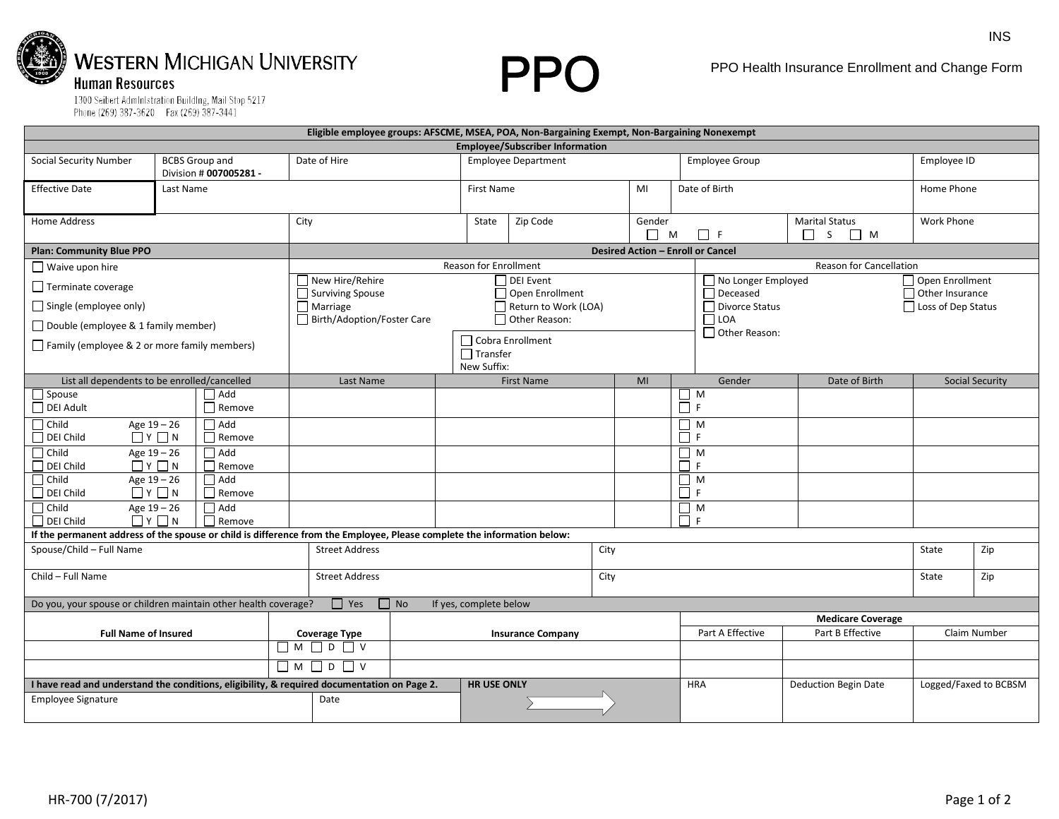

**PPO** 

PPO Health Insurance Enrollment and Change Form

1300 Seibert AdmInIstration BuildIng, Mail Stop 5217<br>Phone (269) 387-3620 Fax (269) 387-3441

|                                                                                                                         |                                                                             |                    |                                                                |                            |                   | Eligible employee groups: AFSCME, MSEA, POA, Non-Bargaining Exempt, Non-Bargaining Nonexempt |                       |                               |                                       |                                                  |               |                                    |     |  |
|-------------------------------------------------------------------------------------------------------------------------|-----------------------------------------------------------------------------|--------------------|----------------------------------------------------------------|----------------------------|-------------------|----------------------------------------------------------------------------------------------|-----------------------|-------------------------------|---------------------------------------|--------------------------------------------------|---------------|------------------------------------|-----|--|
| <b>Employee/Subscriber Information</b>                                                                                  |                                                                             |                    |                                                                |                            |                   |                                                                                              |                       |                               |                                       |                                                  |               |                                    |     |  |
| <b>Social Security Number</b>                                                                                           | <b>BCBS Group and</b><br>Division # 007005281 -                             |                    | Date of Hire                                                   | <b>Employee Department</b> |                   |                                                                                              | <b>Employee Group</b> |                               | Employee ID                           |                                                  |               |                                    |     |  |
| <b>Effective Date</b>                                                                                                   | Last Name                                                                   |                    |                                                                |                            | <b>First Name</b> |                                                                                              |                       | MI                            | Date of Birth                         |                                                  |               | Home Phone                         |     |  |
| Home Address                                                                                                            |                                                                             |                    | City                                                           |                            |                   | Zip Code<br>State                                                                            |                       | Gender<br>M<br>$\Box$ F<br>П. |                                       | <b>Marital Status</b><br>$\Box$ M<br>S<br>$\Box$ | Work Phone    |                                    |     |  |
| <b>Plan: Community Blue PPO</b>                                                                                         |                                                                             |                    | <b>Desired Action - Enroll or Cancel</b>                       |                            |                   |                                                                                              |                       |                               |                                       |                                                  |               |                                    |     |  |
| $\Box$ Waive upon hire                                                                                                  |                                                                             |                    | <b>Reason for Enrollment</b><br><b>Reason for Cancellation</b> |                            |                   |                                                                                              |                       |                               |                                       |                                                  |               |                                    |     |  |
| $\Box$ Terminate coverage                                                                                               |                                                                             |                    | New Hire/Rehire<br>$\Box$ Surviving Spouse                     |                            |                   | DEI Event<br>$\Box$ Open Enrollment                                                          |                       |                               | No Longer Employed<br>$\Box$ Deceased |                                                  |               | Open Enrollment<br>Other Insurance |     |  |
| $\Box$ Single (employee only)                                                                                           |                                                                             |                    | $\Box$ Marriage                                                |                            |                   | Return to Work (LOA)                                                                         |                       |                               |                                       | □ Divorce Status                                 |               | $\Box$ Loss of Dep Status          |     |  |
| Double (employee & 1 family member)                                                                                     |                                                                             |                    | Birth/Adoption/Foster Care                                     | Other Reason:              |                   |                                                                                              |                       | $\Box$ LOA                    |                                       |                                                  |               |                                    |     |  |
| Family (employee & 2 or more family members)                                                                            |                                                                             |                    | $\Box$ Cobra Enrollment<br>$\Box$ Transfer<br>New Suffix:      |                            |                   |                                                                                              |                       |                               |                                       | $\Box$ Other Reason:                             |               |                                    |     |  |
| List all dependents to be enrolled/cancelled                                                                            |                                                                             |                    | Last Name                                                      |                            |                   | <b>First Name</b>                                                                            |                       | MI                            | Gender                                |                                                  | Date of Birth | <b>Social Security</b>             |     |  |
| $\Box$ Spouse<br>DEI Adult                                                                                              | $\Box$ Add<br>$\Box$ Remove                                                 |                    |                                                                |                            |                   |                                                                                              |                       | $\Box$ M<br>$\Box$ F          |                                       |                                                  |               |                                    |     |  |
| $\Box$ Child<br>$\Box$ DEI Child                                                                                        | $\Box$ Add<br>Age 19 - 26<br>$\Box$ $Y$ $\Box$ $N$<br>$\Box$ Remove         |                    |                                                                |                            |                   |                                                                                              |                       |                               | $\Box$ M<br>□F                        |                                                  |               |                                    |     |  |
| $\Box$ Child<br>$\Box$ DEI Child                                                                                        | $\Box$ Add<br>Age 19 - 26<br>$\Box$ $\vee$ $\Box$ $\wedge$<br>$\Box$ Remove |                    |                                                                |                            |                   |                                                                                              |                       | $\prod_{F}$ M                 |                                       |                                                  |               |                                    |     |  |
| $\Box$ Child<br>$\Box$ DEI Child                                                                                        | Age $19 - 26$<br>$\Box$ Add<br>$\Box$ $Y$ $\Box$ $N$<br>$\Box$ Remove       |                    |                                                                |                            |                   |                                                                                              |                       |                               | $\Box$ M<br>ŌF                        |                                                  |               |                                    |     |  |
| $\Box$ Add<br>$\Box$ Child<br>Age 19 - 26<br>$\Box$ Y $\Box$ N<br>$\Box$ Remove<br>$\Box$ DEI Child                     |                                                                             |                    |                                                                |                            |                   |                                                                                              |                       |                               | $\Box$ M<br>Ħг                        |                                                  |               |                                    |     |  |
| If the permanent address of the spouse or child is difference from the Employee, Please complete the information below: |                                                                             |                    |                                                                |                            |                   |                                                                                              |                       |                               |                                       |                                                  |               |                                    |     |  |
| Spouse/Child - Full Name                                                                                                |                                                                             |                    | <b>Street Address</b>                                          |                            |                   | City                                                                                         |                       |                               |                                       |                                                  | State         | Zip                                |     |  |
| Child - Full Name                                                                                                       |                                                                             |                    | <b>Street Address</b>                                          |                            |                   | City                                                                                         |                       |                               |                                       |                                                  |               | State                              | Zip |  |
| Do you, your spouse or children maintain other health coverage?<br>$\Box$ Yes<br>$\Box$ No<br>If yes, complete below    |                                                                             |                    |                                                                |                            |                   |                                                                                              |                       |                               |                                       |                                                  |               |                                    |     |  |
|                                                                                                                         |                                                                             |                    |                                                                |                            |                   |                                                                                              |                       |                               |                                       | <b>Medicare Coverage</b>                         |               |                                    |     |  |
| <b>Full Name of Insured</b>                                                                                             |                                                                             |                    | <b>Coverage Type</b>                                           |                            |                   | <b>Insurance Company</b>                                                                     |                       |                               | Part A Effective<br>Part B Effective  |                                                  | Claim Number  |                                    |     |  |
|                                                                                                                         |                                                                             |                    | $\Box M \Box D \Box V$                                         |                            |                   |                                                                                              |                       |                               |                                       |                                                  |               |                                    |     |  |
|                                                                                                                         |                                                                             |                    | $\Box M \Box D \Box V$                                         |                            |                   |                                                                                              |                       |                               |                                       |                                                  |               |                                    |     |  |
| I have read and understand the conditions, eligibility, & required documentation on Page 2.                             |                                                                             | <b>HR USE ONLY</b> |                                                                |                            |                   | <b>HRA</b>                                                                                   |                       | <b>Deduction Begin Date</b>   |                                       | Logged/Faxed to BCBSM                            |               |                                    |     |  |
| <b>Employee Signature</b>                                                                                               |                                                                             |                    | Date                                                           |                            |                   |                                                                                              |                       |                               |                                       |                                                  |               |                                    |     |  |